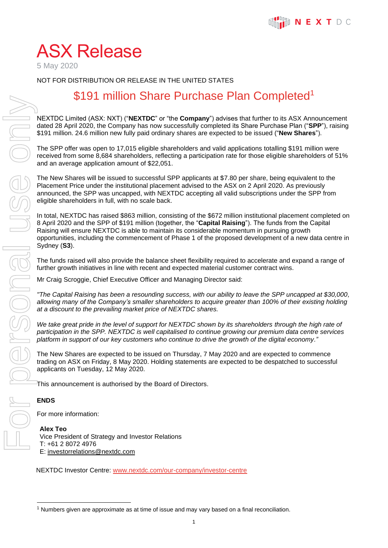# ASX Release

5 May 2020

NOT FOR DISTRIBUTION OR RELEASE IN THE UNITED STATES

## \$191 million Share Purchase Plan Completed<sup>1</sup>

NEXTDC Limited (ASX: NXT) ("**NEXTDC**" or "the **Company**") advises that further to its ASX Announcement dated 28 April 2020, the Company has now successfully completed its Share Purchase Plan ("**SPP**"), raising \$191 million. 24.6 million new fully paid ordinary shares are expected to be issued ("**New Shares**").

The SPP offer was open to 17,015 eligible shareholders and valid applications totalling \$191 million were received from some 8,684 shareholders, reflecting a participation rate for those eligible shareholders of 51% and an average application amount of \$22,051.

The New Shares will be issued to successful SPP applicants at \$7.80 per share, being equivalent to the Placement Price under the institutional placement advised to the ASX on 2 April 2020. As previously announced, the SPP was uncapped, with NEXTDC accepting all valid subscriptions under the SPP from eligible shareholders in full, with no scale back.

In total, NEXTDC has raised \$863 million, consisting of the \$672 million institutional placement completed on 8 April 2020 and the SPP of \$191 million (together, the "**Capital Raising**"). The funds from the Capital Raising will ensure NEXTDC is able to maintain its considerable momentum in pursuing growth opportunities, including the commencement of Phase 1 of the proposed development of a new data centre in Sydney (**S3**).

The funds raised will also provide the balance sheet flexibility required to accelerate and expand a range of further growth initiatives in line with recent and expected material customer contract wins.

Mr Craig Scroggie, Chief Executive Officer and Managing Director said:

*"The Capital Raising has been a resounding success, with our ability to leave the SPP uncapped at \$30,000, allowing many of the Company's smaller shareholders to acquire greater than 100% of their existing holding at a discount to the prevailing market price of NEXTDC shares.*

We take great pride in the level of support for NEXTDC shown by its shareholders through the high rate of *participation in the SPP. NEXTDC is well capitalised to continue growing our premium data centre services platform in support of our key customers who continue to drive the growth of the digital economy."*

The New Shares are expected to be issued on Thursday, 7 May 2020 and are expected to commence trading on ASX on Friday, 8 May 2020. Holding statements are expected to be despatched to successful applicants on Tuesday, 12 May 2020.

This announcement is authorised by the Board of Directors.

### **ENDS**

For more information:

**Alex Teo** Vice President of Strategy and Investor Relations T: +61 2 8072 4976 E: investorrelations@nextdc.com

NEXTDC Investor Centre: [www.nextdc.com/our-company/investor-centre](about:blank)